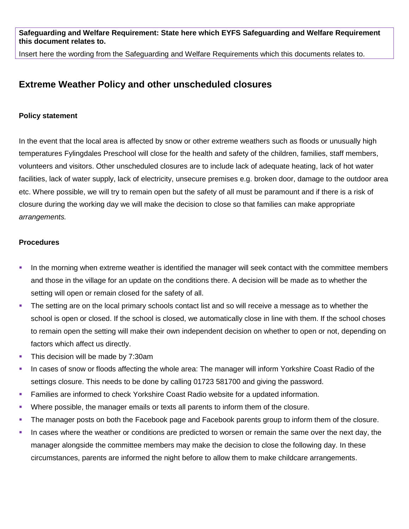**Safeguarding and Welfare Requirement: State here which EYFS Safeguarding and Welfare Requirement this document relates to.**

Insert here the wording from the Safeguarding and Welfare Requirements which this documents relates to.

## **Extreme Weather Policy and other unscheduled closures**

## **Policy statement**

In the event that the local area is affected by snow or other extreme weathers such as floods or unusually high temperatures Fylingdales Preschool will close for the health and safety of the children, families, staff members, volunteers and visitors. Other unscheduled closures are to include lack of adequate heating, lack of hot water facilities, lack of water supply, lack of electricity, unsecure premises e.g. broken door, damage to the outdoor area etc. Where possible, we will try to remain open but the safety of all must be paramount and if there is a risk of closure during the working day we will make the decision to close so that families can make appropriate *arrangements.*

## **Procedures**

- In the morning when extreme weather is identified the manager will seek contact with the committee members and those in the village for an update on the conditions there. A decision will be made as to whether the setting will open or remain closed for the safety of all.
- The setting are on the local primary schools contact list and so will receive a message as to whether the school is open or closed. If the school is closed, we automatically close in line with them. If the school choses to remain open the setting will make their own independent decision on whether to open or not, depending on factors which affect us directly.
- This decision will be made by 7:30am
- In cases of snow or floods affecting the whole area: The manager will inform Yorkshire Coast Radio of the settings closure. This needs to be done by calling 01723 581700 and giving the password.
- Families are informed to check Yorkshire Coast Radio website for a updated information.
- Where possible, the manager emails or texts all parents to inform them of the closure.
- The manager posts on both the Facebook page and Facebook parents group to inform them of the closure.
- In cases where the weather or conditions are predicted to worsen or remain the same over the next day, the manager alongside the committee members may make the decision to close the following day. In these circumstances, parents are informed the night before to allow them to make childcare arrangements.